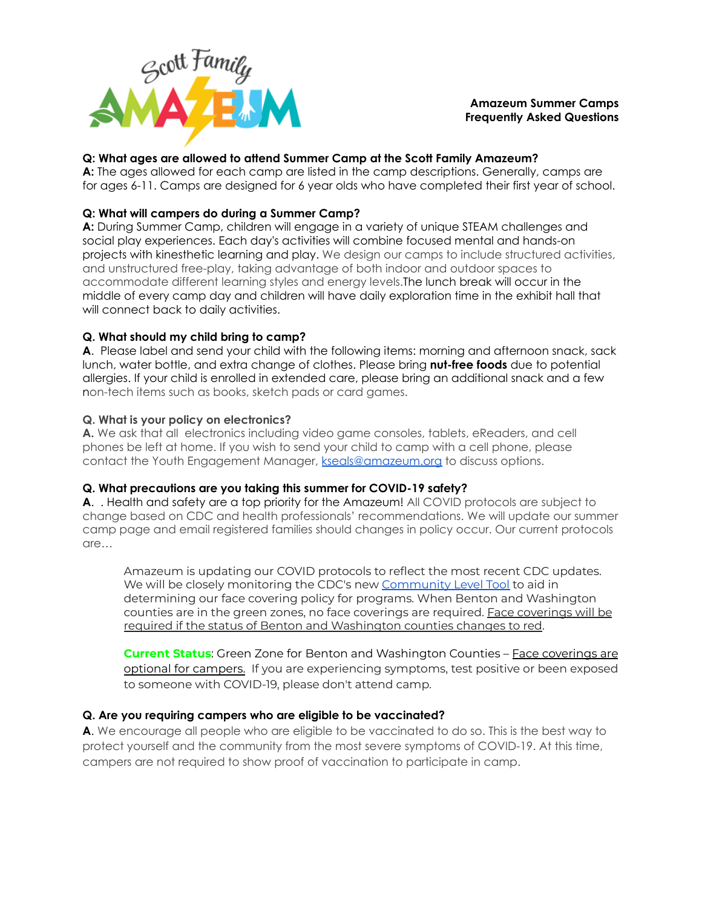

# **Amazeum Summer Camps Frequently Asked Questions**

# **Q: What ages are allowed to attend Summer Camp at the Scott Family Amazeum?**

**A:** The ages allowed for each camp are listed in the camp descriptions. Generally, camps are for ages 6-11. Camps are designed for 6 year olds who have completed their first year of school.

# **Q: What will campers do during a Summer Camp?**

**A:** During Summer Camp, children will engage in a variety of unique STEAM challenges and social play experiences. Each day's activities will combine focused mental and hands-on projects with kinesthetic learning and play. We design our camps to include structured activities, and unstructured free-play, taking advantage of both indoor and outdoor spaces to accommodate different learning styles and energy levels.The lunch break will occur in the middle of every camp day and children will have daily exploration time in the exhibit hall that will connect back to daily activities.

# **Q. What should my child bring to camp?**

**A**. Please label and send your child with the following items: morning and afternoon snack, sack lunch, water bottle, and extra change of clothes. Please bring **nut-free foods** due to potential allergies. If your child is enrolled in extended care, please bring an additional snack and a few non-tech items such as books, sketch pads or card games.

# **Q. What is your policy on electronics?**

**A.** We ask that all electronics including video game consoles, tablets, eReaders, and cell phones be left at home. If you wish to send your child to camp with a cell phone, please contact the Youth Engagement Manager, [kseals@amazeum.org](mailto:kseals@amazeum.org) to discuss options.

# **Q. What precautions are you taking this summer for COVID-19 safety?**

**A**. . Health and safety are a top priority for the Amazeum! All COVID protocols are subject to change based on CDC and health professionals' recommendations. We will update our summer camp page and email registered families should changes in policy occur. Our current protocols are…

Amazeum is updating our COVID protocols to reflect the most recent CDC updates. We will be closely monitoring the CDC's new [Community](https://www.cdc.gov/coronavirus/2019-ncov/your-health/covid-by-county.html) Level Tool to aid in determining our face covering policy for programs. When Benton and Washington counties are in the green zones, no face coverings are required. Face coverings will be required if the status of Benton and Washington counties changes to red.

**Current Status**: Green Zone for Benton and Washington Counties – Face coverings are optional for campers. If you are experiencing symptoms, test positive or been exposed to someone with COVID-19, please don't attend camp.

# **Q. Are you requiring campers who are eligible to be vaccinated?**

**A**. We encourage all people who are eligible to be vaccinated to do so. This is the best way to protect yourself and the community from the most severe symptoms of COVID-19. At this time, campers are not required to show proof of vaccination to participate in camp.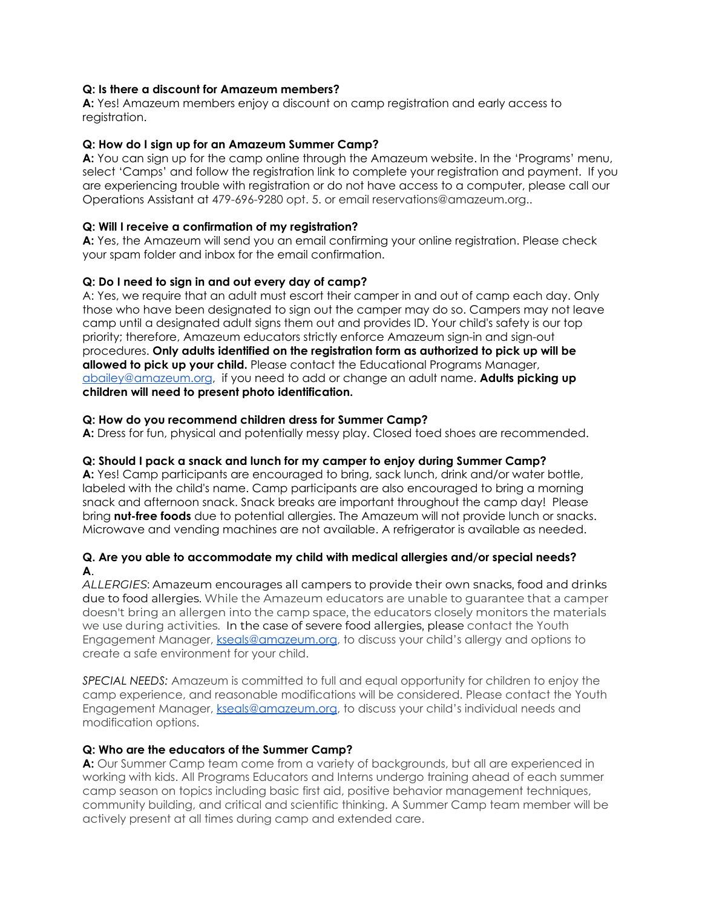# **Q: Is there a discount for Amazeum members?**

**A:** Yes! Amazeum members enjoy a discount on camp registration and early access to registration.

### **Q: How do I sign up for an Amazeum Summer Camp?**

**A:** You can sign up for the camp online through the Amazeum website. In the 'Programs' menu, select 'Camps' and follow the registration link to complete your registration and payment. If you are experiencing trouble with registration or do not have access to a computer, please call our Operations Assistant at 479-696-9280 opt. 5. or email reservations@amazeum.org..

#### **Q: Will I receive a confirmation of my registration?**

**A:** Yes, the Amazeum will send you an email confirming your online registration. Please check your spam folder and inbox for the email confirmation.

#### **Q: Do I need to sign in and out every day of camp?**

A: Yes, we require that an adult must escort their camper in and out of camp each day. Only those who have been designated to sign out the camper may do so. Campers may not leave camp until a designated adult signs them out and provides ID. Your child's safety is our top priority; therefore, Amazeum educators strictly enforce Amazeum sign-in and sign-out procedures. **Only adults identified on the registration form as authorized to pick up will be allowed to pick up your child.** Please contact the Educational Programs Manager, [abailey@amazeum.org](mailto:abailey@amazeum.org), if you need to add or change an adult name. **Adults picking up children will need to present photo identification.**

#### **Q: How do you recommend children dress for Summer Camp?**

**A:** Dress for fun, physical and potentially messy play. Closed toed shoes are recommended.

#### **Q: Should I pack a snack and lunch for my camper to enjoy during Summer Camp?**

**A:** Yes! Camp participants are encouraged to bring, sack lunch, drink and/or water bottle, labeled with the child's name. Camp participants are also encouraged to bring a morning snack and afternoon snack. Snack breaks are important throughout the camp day! Please bring **nut-free foods** due to potential allergies. The Amazeum will not provide lunch or snacks. Microwave and vending machines are not available. A refrigerator is available as needed.

#### **Q. Are you able to accommodate my child with medical allergies and/or special needs? A**.

*ALLERGIES*: Amazeum encourages all campers to provide their own snacks, food and drinks due to food allergies. While the Amazeum educators are unable to guarantee that a camper doesn't bring an allergen into the camp space, the educators closely monitors the materials we use during activities. In the case of severe food allergies, please contact the Youth Engagement Manager, [kseals@amazeum.org](mailto:kseals@amazeum.org), to discuss your child's allergy and options to create a safe environment for your child.

*SPECIAL NEEDS:* Amazeum is committed to full and equal opportunity for children to enjoy the camp experience, and reasonable modifications will be considered. Please contact the Youth Engagement Manager, [kseals@amazeum.org](mailto:kseals@amazeum.org), to discuss your child's individual needs and modification options.

#### **Q: Who are the educators of the Summer Camp?**

**A:** Our Summer Camp team come from a variety of backgrounds, but all are experienced in working with kids. All Programs Educators and Interns undergo training ahead of each summer camp season on topics including basic first aid, positive behavior management techniques, community building, and critical and scientific thinking. A Summer Camp team member will be actively present at all times during camp and extended care.